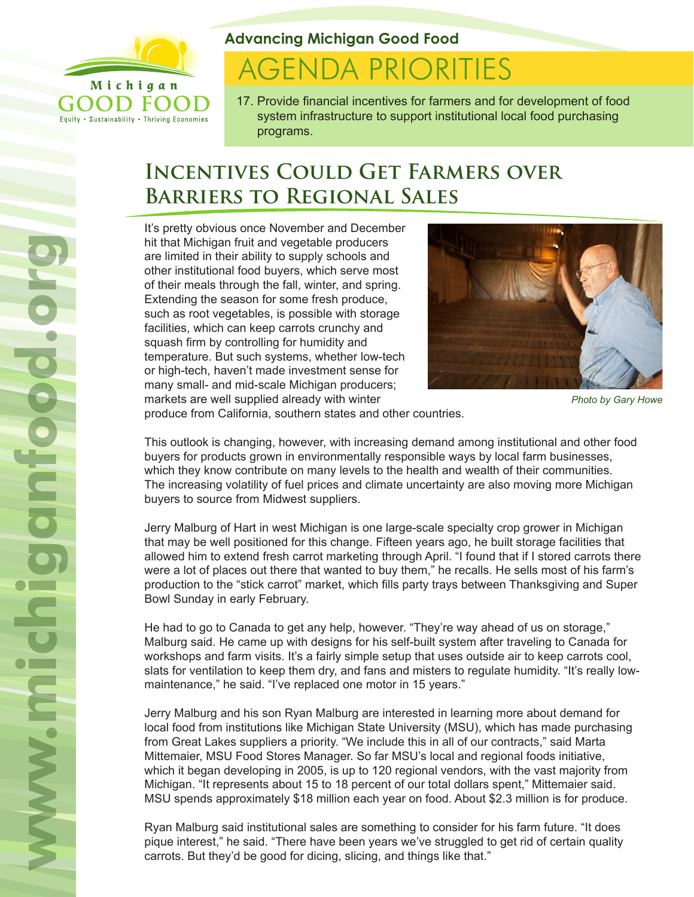

Equity . Sustainability . Thriving Economies

**Advancing Michigan Good Food**

# **AGENDA PRIORITIES**

17. Provide financial incentives for farmers and for development of food system infrastructure to support institutional local food purchasing programs.

# **Incentives Could Get Farmers over Barriers to Regional Sales**

It's pretty obvious once November and December hit that Michigan fruit and vegetable producers are limited in their ability to supply schools and other institutional food buyers, which serve most of their meals through the fall, winter, and spring. Extending the season for some fresh produce, such as root vegetables, is possible with storage facilities, which can keep carrots crunchy and squash firm by controlling for humidity and temperature. But such systems, whether low-tech or high-tech, haven't made investment sense for many small- and mid-scale Michigan producers; markets are well supplied already with winter



```
Photo by Gary Howe
```
produce from California, southern states and other countries.

This outlook is changing, however, with increasing demand among institutional and other food buyers for products grown in environmentally responsible ways by local farm businesses, which they know contribute on many levels to the health and wealth of their communities. The increasing volatility of fuel prices and climate uncertainty are also moving more Michigan buyers to source from Midwest suppliers.

Jerry Malburg of Hart in west Michigan is one large-scale specialty crop grower in Michigan that may be well positioned for this change. Fifteen years ago, he built storage facilities that allowed him to extend fresh carrot marketing through April. "I found that if I stored carrots there were a lot of places out there that wanted to buy them," he recalls. He sells most of his farm's production to the "stick carrot" market, which fills party trays between Thanksgiving and Super Bowl Sunday in early February.

He had to go to Canada to get any help, however. "They're way ahead of us on storage," Malburg said. He came up with designs for his self-built system after traveling to Canada for workshops and farm visits. It's a fairly simple setup that uses outside air to keep carrots cool, slats for ventilation to keep them dry, and fans and misters to regulate humidity. "It's really lowmaintenance," he said. "I've replaced one motor in 15 years."

Jerry Malburg and his son Ryan Malburg are interested in learning more about demand for local food from institutions like Michigan State University (MSU), which has made purchasing from Great Lakes suppliers a priority. "We include this in all of our contracts," said Marta Mittemaier, MSU Food Stores Manager. So far MSU's local and regional foods initiative, which it began developing in 2005, is up to 120 regional vendors, with the vast majority from Michigan. "It represents about 15 to 18 percent of our total dollars spent," Mittemaier said. MSU spends approximately \$18 million each year on food. About \$2.3 million is for produce.

Ryan Malburg said institutional sales are something to consider for his farm future. "It does pique interest," he said. "There have been years we've struggled to get rid of certain quality carrots. But they'd be good for dicing, slicing, and things like that."